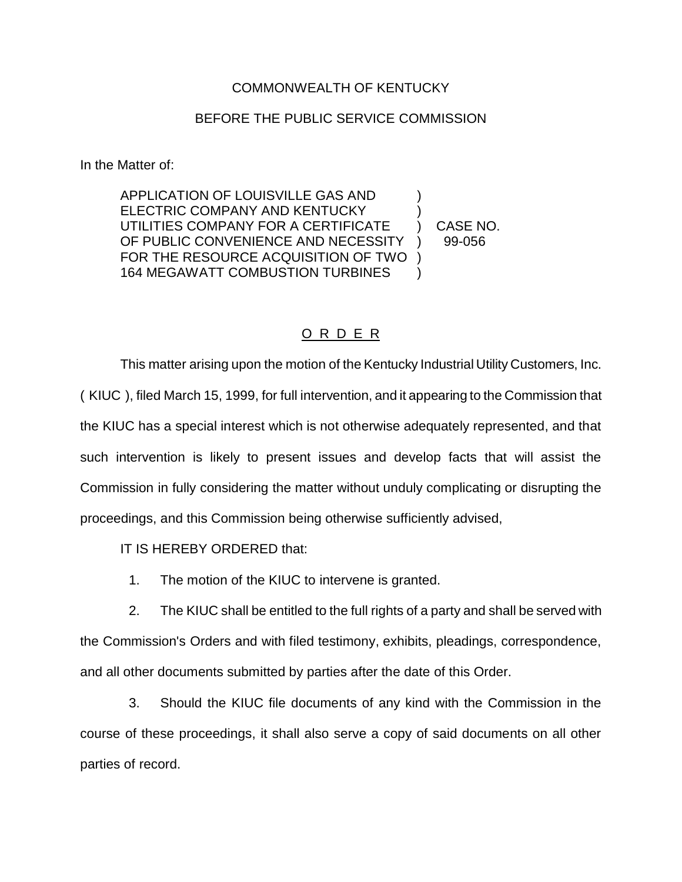## COMMONWEALTH OF KENTUCKY

## BEFORE THE PUBLIC SERVICE COMMISSION

In the Matter of:

APPLICATION OF LOUISVILLE GAS AND ) ELECTRIC COMPANY AND KENTUCKY UTILITIES COMPANY FOR A CERTIFICATE ) CASE NO. OF PUBLIC CONVENIENCE AND NECESSITY ) 99-056 FOR THE RESOURCE ACQUISITION OF TWO ) 164 MEGAWATT COMBUSTION TURBINES )

O R D E R

This matter arising upon the motion of the Kentucky Industrial Utility Customers, Inc. ( KIUC ), filed March 15, 1999, for full intervention, and it appearing to the Commission that the KIUC has a special interest which is not otherwise adequately represented, and that such intervention is likely to present issues and develop facts that will assist the Commission in fully considering the matter without unduly complicating or disrupting the proceedings, and this Commission being otherwise sufficiently advised,

IT IS HEREBY ORDERED that:

1. The motion of the KIUC to intervene is granted.

2. The KIUC shall be entitled to the full rights of a party and shall be served with the Commission's Orders and with filed testimony, exhibits, pleadings, correspondence, and all other documents submitted by parties after the date of this Order.

3. Should the KIUC file documents of any kind with the Commission in the course of these proceedings, it shall also serve a copy of said documents on all other parties of record.